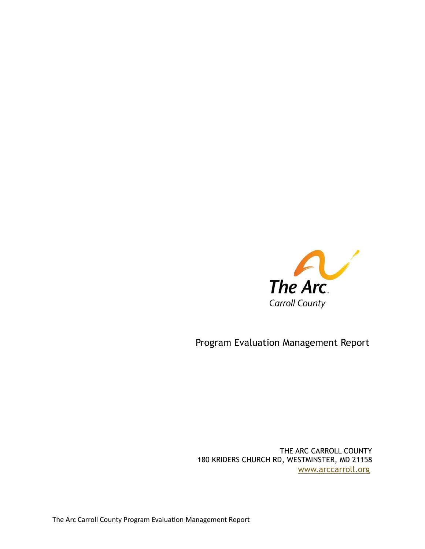

Program Evaluation Management Report

THE ARC CARROLL COUNTY 180 KRIDERS CHURCH RD, WESTMINSTER, MD 21158 [www.arccarroll.org](http://www.arccarroll.org/)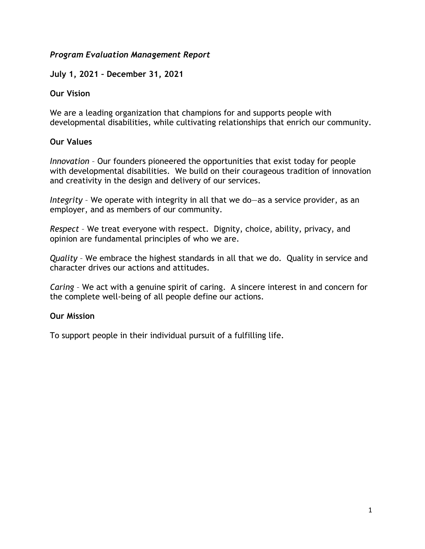## *Program Evaluation Management Report*

## **July 1, 2021 – December 31, 2021**

#### **Our Vision**

We are a leading organization that champions for and supports people with developmental disabilities, while cultivating relationships that enrich our community.

### **Our Values**

*Innovation* – Our founders pioneered the opportunities that exist today for people with developmental disabilities. We build on their courageous tradition of innovation and creativity in the design and delivery of our services.

*Integrity* – We operate with integrity in all that we do—as a service provider, as an employer, and as members of our community.

*Respect* – We treat everyone with respect. Dignity, choice, ability, privacy, and opinion are fundamental principles of who we are.

*Quality* – We embrace the highest standards in all that we do. Quality in service and character drives our actions and attitudes.

*Caring* – We act with a genuine spirit of caring. A sincere interest in and concern for the complete well-being of all people define our actions.

## **Our Mission**

To support people in their individual pursuit of a fulfilling life.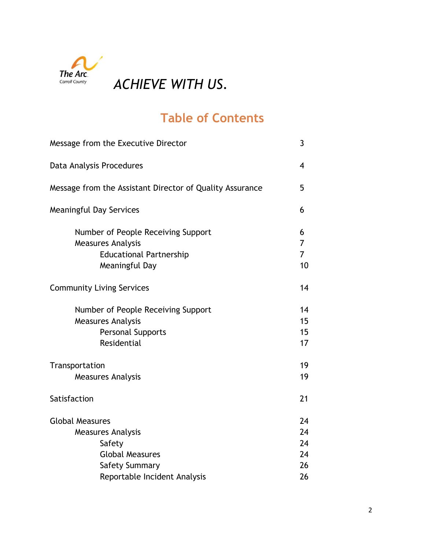

# **Table of Contents**

| Message from the Executive Director                                                                                | 3                              |
|--------------------------------------------------------------------------------------------------------------------|--------------------------------|
| Data Analysis Procedures                                                                                           | $\overline{4}$                 |
| Message from the Assistant Director of Quality Assurance                                                           | 5                              |
| <b>Meaningful Day Services</b>                                                                                     | 6                              |
| Number of People Receiving Support<br><b>Measures Analysis</b><br><b>Educational Partnership</b><br>Meaningful Day | 6<br>7<br>$\overline{7}$<br>10 |
| <b>Community Living Services</b>                                                                                   | 14                             |
| Number of People Receiving Support<br><b>Measures Analysis</b><br><b>Personal Supports</b><br>Residential          | 14<br>15<br>15<br>17           |
| Transportation<br><b>Measures Analysis</b>                                                                         | 19<br>19                       |
| Satisfaction                                                                                                       | 21                             |
| <b>Global Measures</b><br><b>Measures Analysis</b><br>Safety<br><b>Global Measures</b><br><b>Safety Summary</b>    | 24<br>24<br>24<br>24<br>26     |
| Reportable Incident Analysis                                                                                       | 26                             |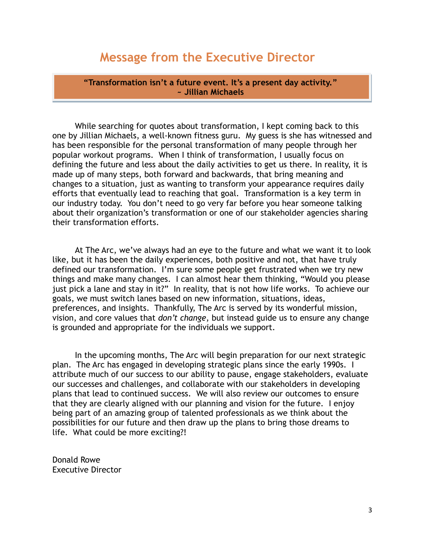# **Message from the Executive Director**

**"Transformation isn't a future event. It's a present day activity." ~ Jillian Michaels**

While searching for quotes about transformation, I kept coming back to this one by Jillian Michaels, a well-known fitness guru. My guess is she has witnessed and has been responsible for the personal transformation of many people through her popular workout programs. When I think of transformation, I usually focus on defining the future and less about the daily activities to get us there. In reality, it is made up of many steps, both forward and backwards, that bring meaning and changes to a situation, just as wanting to transform your appearance requires daily efforts that eventually lead to reaching that goal. Transformation is a key term in our industry today. You don't need to go very far before you hear someone talking about their organization's transformation or one of our stakeholder agencies sharing their transformation efforts.

At The Arc, we've always had an eye to the future and what we want it to look like, but it has been the daily experiences, both positive and not, that have truly defined our transformation. I'm sure some people get frustrated when we try new things and make many changes. I can almost hear them thinking, "Would you please just pick a lane and stay in it?" In reality, that is not how life works. To achieve our goals, we must switch lanes based on new information, situations, ideas, preferences, and insights. Thankfully, The Arc is served by its wonderful mission, vision, and core values that *don't change*, but instead guide us to ensure any change is grounded and appropriate for the individuals we support.

In the upcoming months, The Arc will begin preparation for our next strategic plan. The Arc has engaged in developing strategic plans since the early 1990s. I attribute much of our success to our ability to pause, engage stakeholders, evaluate our successes and challenges, and collaborate with our stakeholders in developing plans that lead to continued success. We will also review our outcomes to ensure that they are clearly aligned with our planning and vision for the future. I enjoy being part of an amazing group of talented professionals as we think about the possibilities for our future and then draw up the plans to bring those dreams to life. What could be more exciting?!

Donald Rowe Executive Director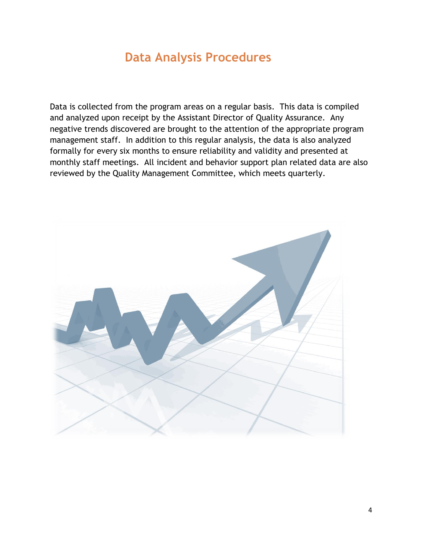# **Data Analysis Procedures**

Data is collected from the program areas on a regular basis. This data is compiled and analyzed upon receipt by the Assistant Director of Quality Assurance. Any negative trends discovered are brought to the attention of the appropriate program management staff. In addition to this regular analysis, the data is also analyzed formally for every six months to ensure reliability and validity and presented at monthly staff meetings. All incident and behavior support plan related data are also reviewed by the Quality Management Committee, which meets quarterly.

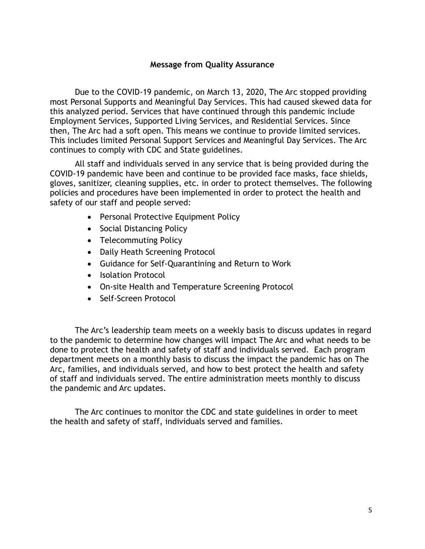#### **Message from Quality Assurance**

Due to the COVID-19 pandemic, on March 13, 2020, The Arc stopped providing most Personal Supports and Meaningful Day Services. This had caused skewed data for this analyzed period. Services that have continued through this pandemic include Employment Services, Supported Living Services, and Residential Services. Since then, The Arc had a soft open. This means we continue to provide limited services. This includes limited Personal Support Services and Meaningful Day Services. The Arc continues to comply with CDC and State guidelines.

All staff and individuals served in any service that is being provided during the COVID-19 pandemic have been and continue to be provided face masks, face shields, gloves, sanitizer, cleaning supplies, etc. in order to protect themselves. The following policies and procedures have been implemented in order to protect the health and safety of our staff and people served:

- Personal Protective Equipment Policy
- Social Distancing Policy
- Telecommuting Policy
- Daily Heath Screening Protocol
- Guidance for Self-Quarantining and Return to Work
- Isolation Protocol
- On-site Health and Temperature Screening Protocol
- Self-Screen Protocol

The Arc's leadership team meets on a weekly basis to discuss updates in regard to the pandemic to determine how changes will impact The Arc and what needs to be done to protect the health and safety of staff and individuals served. Each program department meets on a monthly basis to discuss the impact the pandemic has on The Arc, families, and individuals served, and how to best protect the health and safety of staff and individuals served. The entire administration meets monthly to discuss the pandemic and Arc updates.

The Arc continues to monitor the CDC and state guidelines in order to meet the health and safety of staff, individuals served and families.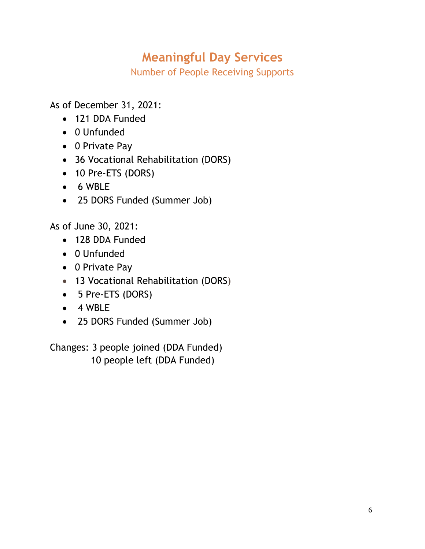# **Meaningful Day Services**

Number of People Receiving Supports

As of December 31, 2021:

- 121 DDA Funded
- 0 Unfunded
- 0 Private Pay
- 36 Vocational Rehabilitation (DORS)
- 10 Pre-ETS (DORS)
- 6 WBLE
- 25 DORS Funded (Summer Job)

As of June 30, 2021:

- 128 DDA Funded
- 0 Unfunded
- 0 Private Pay
- 13 Vocational Rehabilitation (DORS)
- 5 Pre-ETS (DORS)
- 4 WBLE
- 25 DORS Funded (Summer Job)

Changes: 3 people joined (DDA Funded) 10 people left (DDA Funded)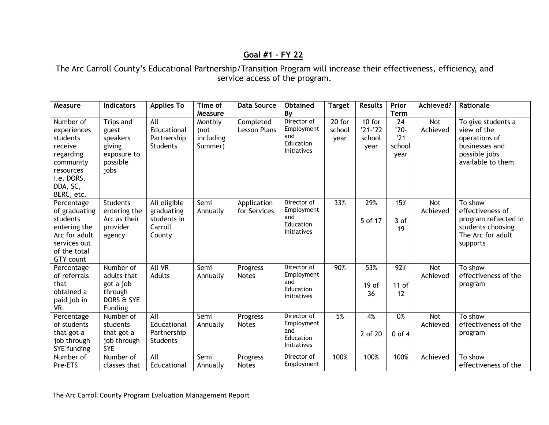# **Goal #1 – FY 22**

The Arc Carroll County's Educational Partnership/Transition Program will increase their effectiveness, efficiency, and service access of the program.

| Measure                                                                                                                        | <b>Indicators</b>                                                           | <b>Applies To</b>                                              | Time of<br>Measure                      | <b>Data Source</b>               | <b>Obtained</b><br>By                                               | <b>Target</b>              | <b>Results</b>                            | Prior<br><b>Term</b>                               | Achieved?       | Rationale                                                                                                  |
|--------------------------------------------------------------------------------------------------------------------------------|-----------------------------------------------------------------------------|----------------------------------------------------------------|-----------------------------------------|----------------------------------|---------------------------------------------------------------------|----------------------------|-------------------------------------------|----------------------------------------------------|-----------------|------------------------------------------------------------------------------------------------------------|
| Number of<br>experiences<br>students<br>receive<br>regarding<br>community<br>resources<br>i.e. DORS,<br>DDA, SC,<br>BERC, etc. | Trips and<br>guest<br>speakers<br>giving<br>exposure to<br>possible<br>jobs | All<br>Educational<br>Partnership<br><b>Students</b>           | Monthly<br>(not<br>including<br>Summer) | Completed<br><b>Lesson Plans</b> | Director of<br>Employment<br>and<br>Education<br>Initiatives        | $20$ for<br>school<br>year | $10$ for<br>$'21 - '22$<br>school<br>year | $\overline{24}$<br>$'20-$<br>'21<br>school<br>year | Not<br>Achieved | To give students a<br>view of the<br>operations of<br>businesses and<br>possible jobs<br>available to them |
| Percentage<br>of graduating<br>students<br>entering the<br>Arc for adult<br>services out<br>of the total<br><b>GTY</b> count   | <b>Students</b><br>entering the<br>Arc as their<br>provider<br>agency       | All eligible<br>graduating<br>students in<br>Carroll<br>County | Semi<br>Annually                        | Application<br>for Services      | Director of<br>Employment<br>and<br>Education<br><b>Initiatives</b> | 33%                        | 29%<br>5 of 17                            | 15%<br>3 of<br>19                                  | Not<br>Achieved | To show<br>effectiveness of<br>program reflected in<br>students choosing<br>The Arc for adult<br>supports  |
| Percentage<br>of referrals<br>that<br>obtained a<br>paid job in<br>VR.                                                         | Number of<br>adults that<br>got a job<br>through<br>DORS & SYE<br>Funding   | All VR<br>Adults                                               | Semi<br>Annually                        | Progress<br><b>Notes</b>         | Director of<br>Employment<br>and<br>Education<br><b>Initiatives</b> | 90%                        | 53%<br>19 <sub>of</sub><br>36             | 92%<br>$11$ of<br>12                               | Not<br>Achieved | To show<br>effectiveness of the<br>program                                                                 |
| Percentage<br>of students<br>that got a<br>job through<br>SYE funding                                                          | Number of<br>students<br>that got a<br>job through<br><b>SYE</b>            | All<br>Educational<br>Partnership<br><b>Students</b>           | Semi<br>Annually                        | Progress<br><b>Notes</b>         | Director of<br>Employment<br>and<br>Education<br>Initiatives        | 5%                         | 4%<br>2 of 20                             | 0%<br>$0$ of $4$                                   | Not<br>Achieved | To show<br>effectiveness of the<br>program                                                                 |
| Number of<br>Pre-ETS                                                                                                           | Number of<br>classes that                                                   | All<br>Educational                                             | Semi<br>Annually                        | Progress<br><b>Notes</b>         | Director of<br>Employment                                           | 100%                       | 100%                                      | 100%                                               | Achieved        | $\overline{To}$ show<br>effectiveness of the                                                               |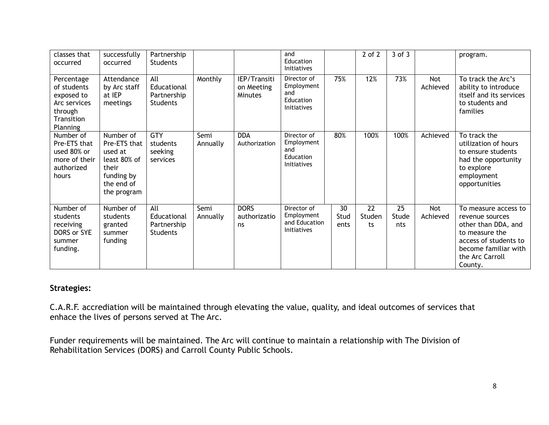| classes that<br>occurred                                                                            | successfully<br>occurred                                                                                 | Partnership<br><b>Students</b>                       |                  |                                              | and<br>Education<br><b>Initiatives</b>                              |                    | $2$ of $2$         | $3$ of $3$         |                 | program.                                                                                                                                                        |
|-----------------------------------------------------------------------------------------------------|----------------------------------------------------------------------------------------------------------|------------------------------------------------------|------------------|----------------------------------------------|---------------------------------------------------------------------|--------------------|--------------------|--------------------|-----------------|-----------------------------------------------------------------------------------------------------------------------------------------------------------------|
| Percentage<br>of students<br>exposed to<br>Arc services<br>through<br>Transition<br><b>Planning</b> | Attendance<br>by Arc staff<br>at IEP<br>meetings                                                         | All<br>Educational<br>Partnership<br><b>Students</b> | Monthly          | IEP/Transiti<br>on Meeting<br><b>Minutes</b> | Director of<br>Employment<br>and<br>Education<br><b>Initiatives</b> | 75%                | 12%                | 73%                | Not<br>Achieved | To track the Arc's<br>ability to introduce<br>itself and its services<br>to students and<br>families                                                            |
| Number of<br>Pre-ETS that<br>used 80% or<br>more of their<br>authorized<br>hours                    | Number of<br>Pre-ETS that<br>used at<br>least 80% of<br>their<br>funding by<br>the end of<br>the program | <b>GTY</b><br>students<br>seeking<br>services        | Semi<br>Annually | <b>DDA</b><br>Authorization                  | Director of<br>Employment<br>and<br>Education<br><b>Initiatives</b> | 80%                | 100%               | 100%               | Achieved        | To track the<br>utilization of hours<br>to ensure students<br>had the opportunity<br>to explore<br>employment<br>opportunities                                  |
| Number of<br>students<br>receiving<br>DORS or SYE<br>summer<br>funding.                             | Number of<br>students<br>granted<br>summer<br>funding                                                    | All<br>Educational<br>Partnership<br><b>Students</b> | Semi<br>Annually | <b>DORS</b><br>authorizatio<br>ns            | Director of<br>Employment<br>and Education<br>Initiatives           | 30<br>Stud<br>ents | 22<br>Studen<br>ts | 25<br>Stude<br>nts | Not<br>Achieved | To measure access to<br>revenue sources<br>other than DDA, and<br>to measure the<br>access of students to<br>become familiar with<br>the Arc Carroll<br>County. |

## **Strategies:**

C.A.R.F. accrediation will be maintained through elevating the value, quality, and ideal outcomes of services that enhace the lives of persons served at The Arc.

Funder requirements will be maintained. The Arc will continue to maintain a relationship with The Division of Rehabilitation Services (DORS) and Carroll County Public Schools.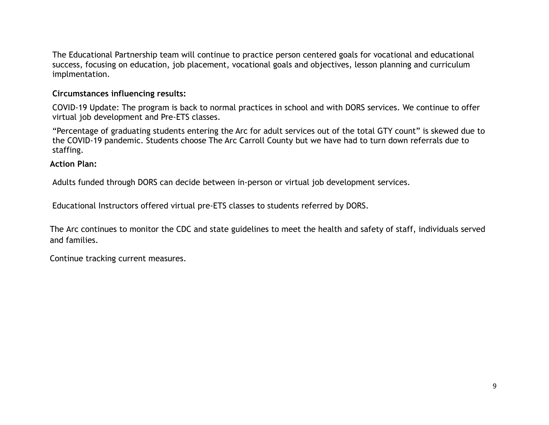The Educational Partnership team will continue to practice person centered goals for vocational and educational success, focusing on education, job placement, vocational goals and objectives, lesson planning and curriculum implmentation.

### **Circumstances influencing results:**

COVID-19 Update: The program is back to normal practices in school and with DORS services. We continue to offer virtual job development and Pre-ETS classes.

"Percentage of graduating students entering the Arc for adult services out of the total GTY count" is skewed due to the COVID-19 pandemic. Students choose The Arc Carroll County but we have had to turn down referrals due to staffing.

#### **Action Plan:**

Adults funded through DORS can decide between in-person or virtual job development services.

Educational Instructors offered virtual pre-ETS classes to students referred by DORS.

The Arc continues to monitor the CDC and state guidelines to meet the health and safety of staff, individuals served and families.

Continue tracking current measures.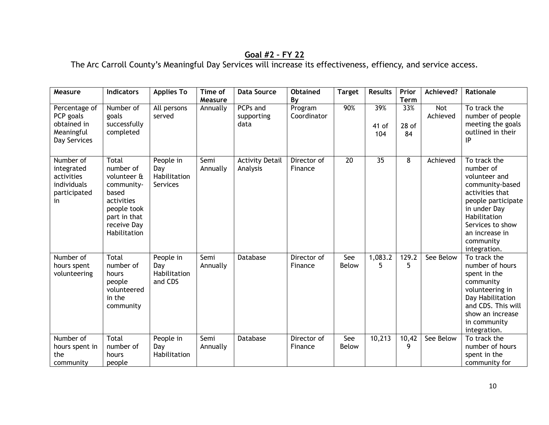# **Goal #2 – FY 22**

The Arc Carroll County's Meaningful Day Services will increase its effectiveness, effiency, and service access.

| Measure                                                                    | <b>Indicators</b>                                                                                                                    | <b>Applies To</b>                            | Time of             | <b>Data Source</b>                 | <b>Obtained</b>              | <b>Target</b>   | <b>Results</b>      | Prior                               | Achieved?              | Rationale                                                                                                                                                                                                 |
|----------------------------------------------------------------------------|--------------------------------------------------------------------------------------------------------------------------------------|----------------------------------------------|---------------------|------------------------------------|------------------------------|-----------------|---------------------|-------------------------------------|------------------------|-----------------------------------------------------------------------------------------------------------------------------------------------------------------------------------------------------------|
| Percentage of<br>PCP goals<br>obtained in<br>Meaningful<br>Day Services    | Number of<br>goals<br>successfully<br>completed                                                                                      | All persons<br>served                        | Measure<br>Annually | PCPs and<br>supporting<br>data     | By<br>Program<br>Coordinator | 90%             | 39%<br>41 of<br>104 | <b>Term</b><br>33%<br>$28$ of<br>84 | <b>Not</b><br>Achieved | To track the<br>number of people<br>meeting the goals<br>outlined in their<br>ΙP                                                                                                                          |
| Number of<br>integrated<br>activities<br>individuals<br>participated<br>in | Total<br>number of<br>volunteer &<br>community-<br>based<br>activities<br>people took<br>part in that<br>receive Day<br>Habilitation | People in<br>Day<br>Habilitation<br>Services | Semi<br>Annually    | <b>Activity Detail</b><br>Analysis | Director of<br>Finance       | $\overline{20}$ | $\overline{35}$     | 8                                   | Achieved               | To track the<br>number of<br>volunteer and<br>community-based<br>activities that<br>people participate<br>in under Day<br>Habilitation<br>Services to show<br>an increase in<br>community<br>integration. |
| Number of<br>hours spent<br>volunteering                                   | <b>Total</b><br>number of<br>hours<br>people<br>volunteered<br>in the<br>community                                                   | People in<br>Day<br>Habilitation<br>and CDS  | Semi<br>Annually    | Database                           | Director of<br>Finance       | See<br>Below    | 1,083.2<br>5        | 129.2<br>5                          | See Below              | To track the<br>number of hours<br>spent in the<br>community<br>volunteering in<br>Day Habilitation<br>and CDS. This will<br>show an increase<br>in community<br>integration.                             |
| Number of<br>hours spent in<br>the<br>community                            | <b>Total</b><br>number of<br>hours<br>people                                                                                         | People in<br>Day<br>Habilitation             | Semi<br>Annually    | Database                           | Director of<br>Finance       | See<br>Below    | 10,213              | 10,42<br>9                          | See Below              | To track the<br>number of hours<br>spent in the<br>community for                                                                                                                                          |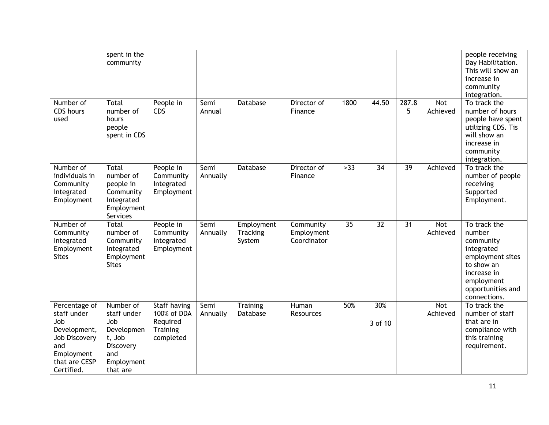|                                                                                                                          | spent in the<br>community                                                                             |                                                                         |                  |                                  |                                        |                 |                 |                 |                        | people receiving<br>Day Habilitation.<br>This will show an<br>increase in<br>community<br>integration.                                                |
|--------------------------------------------------------------------------------------------------------------------------|-------------------------------------------------------------------------------------------------------|-------------------------------------------------------------------------|------------------|----------------------------------|----------------------------------------|-----------------|-----------------|-----------------|------------------------|-------------------------------------------------------------------------------------------------------------------------------------------------------|
| Number of<br>CDS hours<br>used                                                                                           | Total<br>number of<br>hours<br>people<br>spent in CDS                                                 | People in<br>CDS                                                        | Semi<br>Annual   | <b>Database</b>                  | Director of<br>Finance                 | 1800            | 44.50           | 287.8<br>5      | <b>Not</b><br>Achieved | To track the<br>number of hours<br>people have spent<br>utilizing CDS. Tis<br>will show an<br>increase in<br>community<br>integration.                |
| Number of<br>individuals in<br>Community<br>Integrated<br>Employment                                                     | Total<br>number of<br>people in<br>Community<br>Integrated<br>Employment<br>Services                  | People in<br>Community<br>Integrated<br>Employment                      | Semi<br>Annually | Database                         | Director of<br>Finance                 | >33             | $\overline{34}$ | $\overline{39}$ | Achieved               | To track the<br>number of people<br>receiving<br>Supported<br>Employment.                                                                             |
| Number of<br>Community<br>Integrated<br>Employment<br><b>Sites</b>                                                       | Total<br>number of<br>Community<br>Integrated<br>Employment<br><b>Sites</b>                           | People in<br>Community<br>Integrated<br>Employment                      | Semi<br>Annually | Employment<br>Tracking<br>System | Community<br>Employment<br>Coordinator | $\overline{35}$ | $\overline{32}$ | 31              | Not<br>Achieved        | To track the<br>number<br>community<br>integrated<br>employment sites<br>to show an<br>increase in<br>employment<br>opportunities and<br>connections. |
| Percentage of<br>staff under<br>Job<br>Development,<br>Job Discovery<br>and<br>Employment<br>that are CESP<br>Certified. | Number of<br>staff under<br>Job<br>Developmen<br>t, Job<br>Discovery<br>and<br>Employment<br>that are | Staff having<br>100% of DDA<br>Required<br><b>Training</b><br>completed | Semi<br>Annually | Training<br>Database             | Human<br>Resources                     | 50%             | 30%<br>3 of 10  |                 | Not<br>Achieved        | To track the<br>number of staff<br>that are in<br>compliance with<br>this training<br>requirement.                                                    |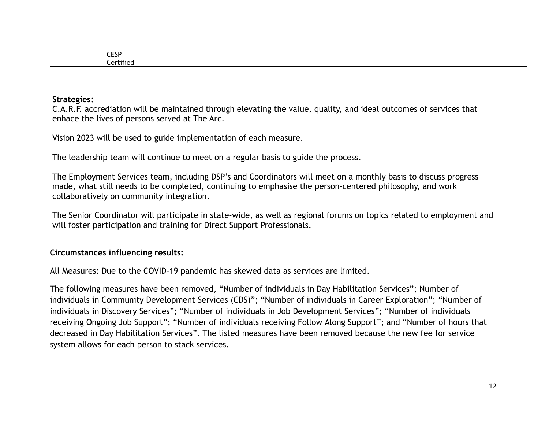| <b>CESP</b><br>ᇰ뇌 |  |  |  |  |  |
|-------------------|--|--|--|--|--|
| `ertifiec         |  |  |  |  |  |

#### **Strategies:**

C.A.R.F. accrediation will be maintained through elevating the value, quality, and ideal outcomes of services that enhace the lives of persons served at The Arc.

Vision 2023 will be used to guide implementation of each measure.

The leadership team will continue to meet on a regular basis to guide the process.

The Employment Services team, including DSP's and Coordinators will meet on a monthly basis to discuss progress made, what still needs to be completed, continuing to emphasise the person-centered philosophy, and work collaboratively on community integration.

The Senior Coordinator will participate in state-wide, as well as regional forums on topics related to employment and will foster participation and training for Direct Support Professionals.

### **Circumstances influencing results:**

All Measures: Due to the COVID-19 pandemic has skewed data as services are limited.

The following measures have been removed, "Number of individuals in Day Habilitation Services"; Number of individuals in Community Development Services (CDS)"; "Number of individuals in Career Exploration"; "Number of individuals in Discovery Services"; "Number of individuals in Job Development Services"; "Number of individuals receiving Ongoing Job Support"; "Number of individuals receiving Follow Along Support"; and "Number of hours that decreased in Day Habilitation Services". The listed measures have been removed because the new fee for service system allows for each person to stack services.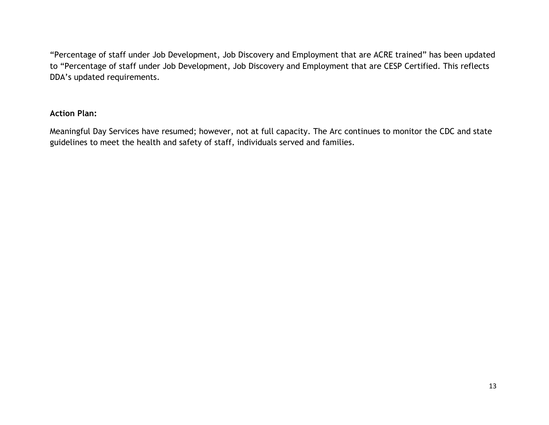"Percentage of staff under Job Development, Job Discovery and Employment that are ACRE trained" has been updated to "Percentage of staff under Job Development, Job Discovery and Employment that are CESP Certified. This reflects DDA's updated requirements.

## **Action Plan:**

Meaningful Day Services have resumed; however, not at full capacity. The Arc continues to monitor the CDC and state guidelines to meet the health and safety of staff, individuals served and families.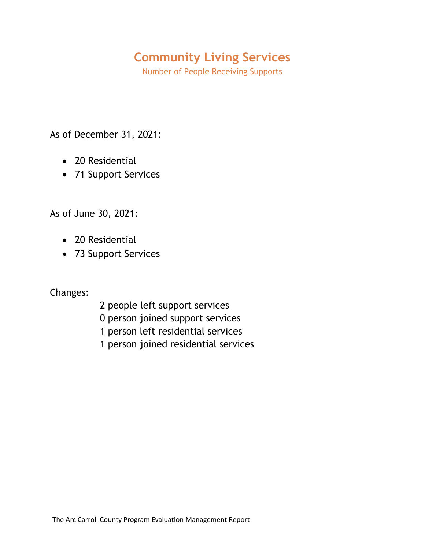# **Community Living Services**

Number of People Receiving Supports

As of December 31, 2021:

- 20 Residential
- 71 Support Services

As of June 30, 2021:

- 20 Residential
- 73 Support Services

Changes:

- 2 people left support services
- 0 person joined support services
- 1 person left residential services
- 1 person joined residential services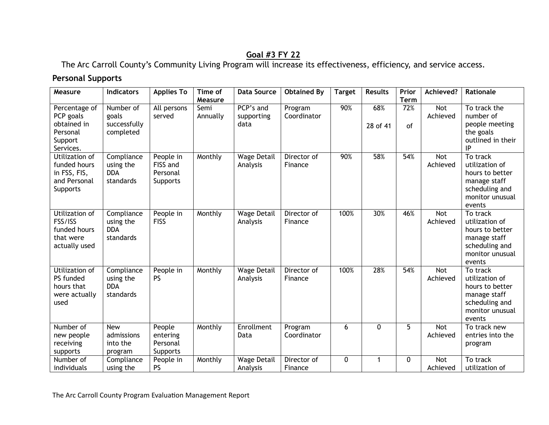# **Goal #3 FY 22**

The Arc Carroll County's Community Living Program will increase its effectiveness, efficiency, and service access.

# **Personal Supports**

| Measure                                                                       | <b>Indicators</b>                                  | <b>Applies To</b>                             | Time of<br>Measure | <b>Data Source</b>              | <b>Obtained By</b>     | <b>Target</b> | <b>Results</b>  | Prior<br><b>Term</b> | Achieved?              | Rationale                                                                                                    |
|-------------------------------------------------------------------------------|----------------------------------------------------|-----------------------------------------------|--------------------|---------------------------------|------------------------|---------------|-----------------|----------------------|------------------------|--------------------------------------------------------------------------------------------------------------|
| Percentage of<br>PCP goals<br>obtained in<br>Personal<br>Support<br>Services. | Number of<br>goals<br>successfully<br>completed    | All persons<br>served                         | Semi<br>Annually   | PCP's and<br>supporting<br>data | Program<br>Coordinator | 90%           | 68%<br>28 of 41 | 72%<br>of            | Not<br>Achieved        | To track the<br>number of<br>people meeting<br>the goals<br>outlined in their<br>IP                          |
| Utilization of<br>funded hours<br>in FSS, FIS,<br>and Personal<br>Supports    | Compliance<br>using the<br><b>DDA</b><br>standards | People in<br>FISS and<br>Personal<br>Supports | Monthly            | <b>Wage Detail</b><br>Analysis  | Director of<br>Finance | 90%           | 58%             | 54%                  | <b>Not</b><br>Achieved | To track<br>utilization of<br>hours to better<br>manage staff<br>scheduling and<br>monitor unusual<br>events |
| Utilization of<br>FSS/ISS<br>funded hours<br>that were<br>actually used       | Compliance<br>using the<br><b>DDA</b><br>standards | People in<br><b>FISS</b>                      | Monthly            | <b>Wage Detail</b><br>Analysis  | Director of<br>Finance | 100%          | 30%             | 46%                  | <b>Not</b><br>Achieved | To track<br>utilization of<br>hours to better<br>manage staff<br>scheduling and<br>monitor unusual<br>events |
| Utilization of<br>PS funded<br>hours that<br>were actually<br>used            | Compliance<br>using the<br><b>DDA</b><br>standards | People in<br><b>PS</b>                        | Monthly            | <b>Wage Detail</b><br>Analysis  | Director of<br>Finance | 100%          | 28%             | 54%                  | <b>Not</b><br>Achieved | To track<br>utilization of<br>hours to better<br>manage staff<br>scheduling and<br>monitor unusual<br>events |
| Number of<br>new people<br>receiving<br>supports                              | <b>New</b><br>admissions<br>into the<br>program    | People<br>entering<br>Personal<br>Supports    | Monthly            | Enrollment<br>Data              | Program<br>Coordinator | 6             | $\Omega$        | 5                    | <b>Not</b><br>Achieved | To track new<br>entries into the<br>program                                                                  |
| Number of<br>individuals                                                      | Compliance<br>using the                            | People in<br><b>PS</b>                        | Monthly            | <b>Wage Detail</b><br>Analysis  | Director of<br>Finance | $\mathbf 0$   | 1               | $\Omega$             | <b>Not</b><br>Achieved | To track<br>utilization of                                                                                   |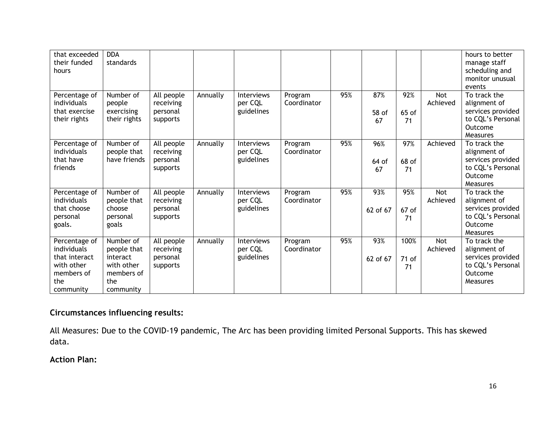| that exceeded<br>their funded<br>hours                                                        | <b>DDA</b><br>standards                                                              |                                                 |          |                                            |                        |     |                    |                     |                 | hours to better<br>manage staff<br>scheduling and<br>monitor unusual<br>events                |
|-----------------------------------------------------------------------------------------------|--------------------------------------------------------------------------------------|-------------------------------------------------|----------|--------------------------------------------|------------------------|-----|--------------------|---------------------|-----------------|-----------------------------------------------------------------------------------------------|
| Percentage of<br>individuals<br>that exercise<br>their rights                                 | Number of<br>people<br>exercising<br>their rights                                    | All people<br>receiving<br>personal<br>supports | Annually | <b>Interviews</b><br>per CQL<br>guidelines | Program<br>Coordinator | 95% | 87%<br>58 of<br>67 | 92%<br>65 of<br>71  | Not<br>Achieved | To track the<br>alignment of<br>services provided<br>to CQL's Personal<br>Outcome<br>Measures |
| Percentage of<br>individuals<br>that have<br>friends                                          | Number of<br>people that<br>have friends                                             | All people<br>receiving<br>personal<br>supports | Annually | Interviews<br>per CQL<br>guidelines        | Program<br>Coordinator | 95% | 96%<br>64 of<br>67 | 97%<br>68 of<br>71  | Achieved        | To track the<br>alignment of<br>services provided<br>to CQL's Personal<br>Outcome<br>Measures |
| Percentage of<br>individuals<br>that choose<br>personal<br>goals.                             | Number of<br>people that<br>choose<br>personal<br>goals                              | All people<br>receiving<br>personal<br>supports | Annually | Interviews<br>per CQL<br>guidelines        | Program<br>Coordinator | 95% | 93%<br>62 of 67    | 95%<br>67 of<br>71  | Not<br>Achieved | To track the<br>alignment of<br>services provided<br>to CQL's Personal<br>Outcome<br>Measures |
| Percentage of<br>individuals<br>that interact<br>with other<br>members of<br>the<br>community | Number of<br>people that<br>interact<br>with other<br>members of<br>the<br>community | All people<br>receiving<br>personal<br>supports | Annually | Interviews<br>per CQL<br>guidelines        | Program<br>Coordinator | 95% | 93%<br>62 of 67    | 100%<br>71 of<br>71 | Not<br>Achieved | To track the<br>alignment of<br>services provided<br>to CQL's Personal<br>Outcome<br>Measures |

# **Circumstances influencing results:**

All Measures: Due to the COVID-19 pandemic, The Arc has been providing limited Personal Supports. This has skewed data.

**Action Plan:**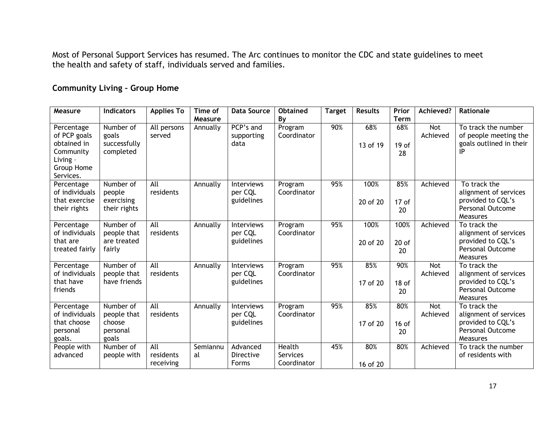Most of Personal Support Services has resumed. The Arc continues to monitor the CDC and state guidelines to meet the health and safety of staff, individuals served and families.

# **Community Living – Group Home**

| Measure                  | <b>Indicators</b>         | <b>Applies To</b> | Time of  | <b>Data Source</b> | <b>Obtained</b> | <b>Target</b> | <b>Results</b> | Prior            | Achieved?  | Rationale                                    |
|--------------------------|---------------------------|-------------------|----------|--------------------|-----------------|---------------|----------------|------------------|------------|----------------------------------------------|
|                          |                           |                   | Measure  |                    | By              |               |                | <b>Term</b>      |            |                                              |
| Percentage               | Number of                 | All persons       | Annually | PCP's and          | Program         | 90%           | 68%            | 68%              | <b>Not</b> | To track the number                          |
| of PCP goals             | goals                     | served            |          | supporting         | Coordinator     |               |                |                  | Achieved   | of people meeting the                        |
| obtained in<br>Community | successfully<br>completed |                   |          | data               |                 |               | 13 of 19       | 19 <sub>of</sub> |            | goals outlined in their<br>IP                |
| Living -                 |                           |                   |          |                    |                 |               |                | 28               |            |                                              |
| Group Home               |                           |                   |          |                    |                 |               |                |                  |            |                                              |
| Services.                |                           |                   |          |                    |                 |               |                |                  |            |                                              |
| Percentage               | Number of                 | All               | Annually | Interviews         | Program         | 95%           | 100%           | 85%              | Achieved   | To track the                                 |
| of individuals           | people                    | residents         |          | per CQL            | Coordinator     |               |                |                  |            | alignment of services                        |
| that exercise            | exercising                |                   |          | guidelines         |                 |               | 20 of 20       | 17 of            |            | provided to CQL's<br><b>Personal Outcome</b> |
| their rights             | their rights              |                   |          |                    |                 |               |                | 20               |            | <b>Measures</b>                              |
| Percentage               | Number of                 | All               | Annually | <b>Interviews</b>  | Program         | 95%           | 100%           | 100%             | Achieved   | To track the                                 |
| of individuals           | people that               | residents         |          | per CQL            | Coordinator     |               |                |                  |            | alignment of services                        |
| that are                 | are treated               |                   |          | guidelines         |                 |               | 20 of 20       | $20$ of          |            | provided to CQL's                            |
| treated fairly           | fairly                    |                   |          |                    |                 |               |                | 20               |            | Personal Outcome                             |
| Percentage               | Number of                 | All               | Annually | Interviews         | Program         | 95%           | 85%            | 90%              | <b>Not</b> | <b>Measures</b><br>To track the              |
| of individuals           | people that               | residents         |          | per CQL            | Coordinator     |               |                |                  | Achieved   | alignment of services                        |
| that have                | have friends              |                   |          | guidelines         |                 |               | 17 of 20       | 18 <sub>of</sub> |            | provided to CQL's                            |
| friends                  |                           |                   |          |                    |                 |               |                | 20               |            | <b>Personal Outcome</b>                      |
|                          |                           |                   |          |                    |                 |               |                |                  |            | Measures                                     |
| Percentage               | Number of                 | All               | Annually | Interviews         | Program         | 95%           | 85%            | 80%              | Not        | To track the                                 |
| of individuals           | people that               | residents         |          | per CQL            | Coordinator     |               |                |                  | Achieved   | alignment of services                        |
| that choose<br>personal  | choose<br>personal        |                   |          | guidelines         |                 |               | 17 of 20       | $16$ of          |            | provided to CQL's<br><b>Personal Outcome</b> |
| goals.                   | goals                     |                   |          |                    |                 |               |                | 20               |            | Measures                                     |
| People with              | Number of                 | All               | Semiannu | Advanced           | Health          | 45%           | 80%            | 80%              | Achieved   | To track the number                          |
| advanced                 | people with               | residents         | al       | Directive          | Services        |               |                |                  |            | of residents with                            |
|                          |                           | receiving         |          | <b>Forms</b>       | Coordinator     |               | 16 of 20       |                  |            |                                              |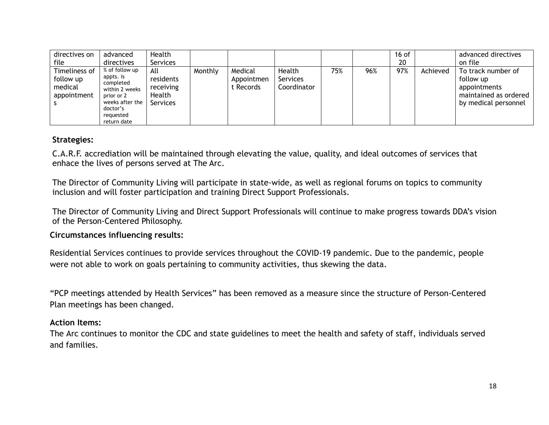| directives on                                        | advanced                                                                                                                            | Health                                              |         |                                    |                                   |     |     | 16 $of$ |          | advanced directives                                                                              |
|------------------------------------------------------|-------------------------------------------------------------------------------------------------------------------------------------|-----------------------------------------------------|---------|------------------------------------|-----------------------------------|-----|-----|---------|----------|--------------------------------------------------------------------------------------------------|
| file                                                 | directives                                                                                                                          | Services                                            |         |                                    |                                   |     |     | 20      |          | on file                                                                                          |
| Timeliness of<br>follow up<br>medical<br>appointment | % of follow up<br>appts. is<br>completed<br>within 2 weeks<br>prior or 2<br>weeks after the<br>doctor's<br>requested<br>return date | All<br>residents<br>receiving<br>Health<br>Services | Monthly | Medical<br>Appointmen<br>: Records | Health<br>Services<br>Coordinator | 75% | 96% | 97%     | Achieved | To track number of<br>follow up<br>appointments<br>maintained as ordered<br>by medical personnel |

#### **Strategies:**

C.A.R.F. accrediation will be maintained through elevating the value, quality, and ideal outcomes of services that enhace the lives of persons served at The Arc.

The Director of Community Living will participate in state-wide, as well as regional forums on topics to community inclusion and will foster participation and training Direct Support Professionals.

The Director of Community Living and Direct Support Professionals will continue to make progress towards DDA's vision of the Person-Centered Philosophy.

#### **Circumstances influencing results:**

Residential Services continues to provide services throughout the COVID-19 pandemic. Due to the pandemic, people were not able to work on goals pertaining to community activities, thus skewing the data.

"PCP meetings attended by Health Services" has been removed as a measure since the structure of Person-Centered Plan meetings has been changed.

#### **Action Items:**

The Arc continues to monitor the CDC and state guidelines to meet the health and safety of staff, individuals served and families.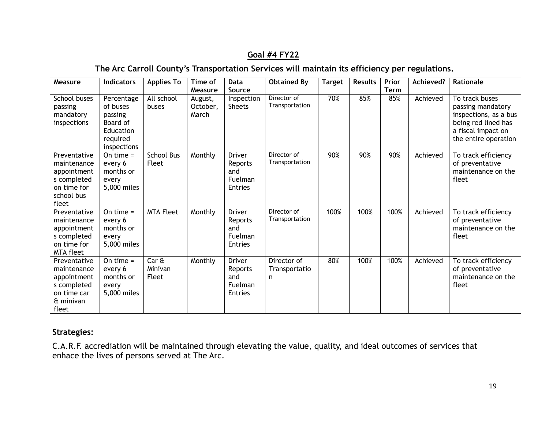# **Goal #4 FY22**

# **The Arc Carroll County's Transportation Services will maintain its efficiency per regulations.**

| Measure                                                                                         | <b>Indicators</b>                                                                     | <b>Applies To</b>                            | Time of<br>Measure           | Data<br>Source                                        | <b>Obtained By</b>                 | <b>Target</b> | <b>Results</b> | Prior<br><b>Term</b> | Achieved? | Rationale                                                                                                                         |
|-------------------------------------------------------------------------------------------------|---------------------------------------------------------------------------------------|----------------------------------------------|------------------------------|-------------------------------------------------------|------------------------------------|---------------|----------------|----------------------|-----------|-----------------------------------------------------------------------------------------------------------------------------------|
| School buses<br>passing<br>mandatory<br>inspections                                             | Percentage<br>of buses<br>passing<br>Board of<br>Education<br>required<br>inspections | All school<br>buses                          | August,<br>October,<br>March | Inspection<br><b>Sheets</b>                           | Director of<br>Transportation      | 70%           | 85%            | 85%                  | Achieved  | To track buses<br>passing mandatory<br>inspections, as a bus<br>being red lined has<br>a fiscal impact on<br>the entire operation |
| Preventative<br>maintenance<br>appointment<br>s completed<br>on time for<br>school bus<br>fleet | On time $=$<br>every 6<br>months or<br>every<br>5,000 miles                           | <b>School Bus</b><br>Fleet                   | Monthly                      | <b>Driver</b><br>Reports<br>and<br>Fuelman<br>Entries | Director of<br>Transportation      | 90%           | 90%            | 90%                  | Achieved  | To track efficiency<br>of preventative<br>maintenance on the<br>fleet                                                             |
| Preventative<br>maintenance<br>appointment<br>s completed<br>on time for<br><b>MTA fleet</b>    | On time $=$<br>every 6<br>months or<br>every<br>5,000 miles                           | <b>MTA Fleet</b>                             | Monthly                      | <b>Driver</b><br>Reports<br>and<br>Fuelman<br>Entries | Director of<br>Transportation      | 100%          | 100%           | 100%                 | Achieved  | To track efficiency<br>of preventative<br>maintenance on the<br>fleet                                                             |
| Preventative<br>maintenance<br>appointment<br>s completed<br>on time car<br>& minivan<br>fleet  | On time $=$<br>every 6<br>months or<br>every<br>5,000 miles                           | Car <sub>ft</sub><br>Minivan<br><b>Fleet</b> | Monthly                      | <b>Driver</b><br>Reports<br>and<br>Fuelman<br>Entries | Director of<br>Transportatio<br>n. | 80%           | 100%           | 100%                 | Achieved  | To track efficiency<br>of preventative<br>maintenance on the<br>fleet                                                             |

## **Strategies:**

C.A.R.F. accrediation will be maintained through elevating the value, quality, and ideal outcomes of services that enhace the lives of persons served at The Arc.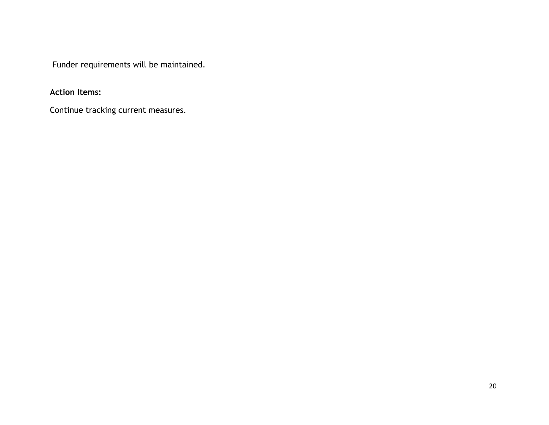Funder requirements will be maintained.

**Action Items:**

Continue tracking current measures.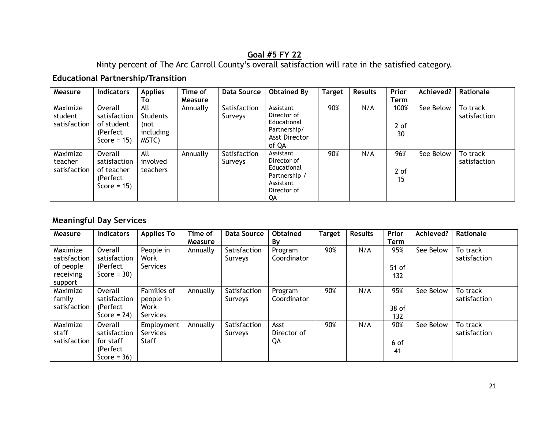# **Goal #5 FY 22**

Ninty percent of The Arc Carroll County's overall satisfaction will rate in the satisfied category.

# **Educational Partnership/Transition**

| Measure                             | <b>Indicators</b>                                                    | <b>Applies</b><br>Τo                           | Time of<br><b>Measure</b> | <b>Data Source</b>      | <b>Obtained By</b>                                                                         | <b>Target</b> | <b>Results</b> | Prior<br>Term      | Achieved? | Rationale                |
|-------------------------------------|----------------------------------------------------------------------|------------------------------------------------|---------------------------|-------------------------|--------------------------------------------------------------------------------------------|---------------|----------------|--------------------|-----------|--------------------------|
| Maximize<br>student<br>satisfaction | Overall<br>satisfaction<br>of student<br>(Perfect)<br>Score = $15$ ) | All<br>Students<br>(not-<br>including<br>MSTC) | Annually                  | Satisfaction<br>Surveys | Assistant<br>Director of<br>Educational<br>Partnership/<br>Asst Director<br>of QA          | 90%           | N/A            | 100%<br>2 of<br>30 | See Below | To track<br>satisfaction |
| Maximize<br>teacher<br>satisfaction | Overall<br>satisfaction<br>of teacher<br>(Perfect)<br>Score = $15$ ) | All<br>involved<br>teachers                    | Annually                  | Satisfaction<br>Surveys | Assistant<br>Director of<br>Educational<br>Partnership /<br>Assistant<br>Director of<br>QA | 90%           | N/A            | 96%<br>2 of<br>15  | See Below | To track<br>satisfaction |

# **Meaningful Day Services**

| Measure                                                       | <b>Indicators</b>                                                   | <b>Applies To</b>                                   | Time of<br><b>Measure</b> | <b>Data Source</b>      | <b>Obtained</b><br>By     | <b>Target</b> | <b>Results</b> | Prior<br>Term         | Achieved? | Rationale                |
|---------------------------------------------------------------|---------------------------------------------------------------------|-----------------------------------------------------|---------------------------|-------------------------|---------------------------|---------------|----------------|-----------------------|-----------|--------------------------|
| Maximize<br>satisfaction<br>of people<br>receiving<br>support | Overall<br>satisfaction<br>(Perfect)<br>Score = $30$ )              | People in<br>Work<br><b>Services</b>                | Annually                  | Satisfaction<br>Surveys | Program<br>Coordinator    | 90%           | N/A            | 95%<br>$51$ of<br>132 | See Below | To track<br>satisfaction |
| Maximize<br>family<br>satisfaction                            | Overall<br>satisfaction<br>(Perfect)<br>Score = $24$ )              | Families of<br>people in<br>Work<br><b>Services</b> | Annually                  | Satisfaction<br>Surveys | Program<br>Coordinator    | 90%           | N/A            | 95%<br>38 of<br>132   | See Below | To track<br>satisfaction |
| Maximize<br>staff<br>satisfaction                             | Overall<br>satisfaction<br>for staff<br>(Perfect)<br>Score = $36$ ) | Employment<br><b>Services</b><br>Staff              | Annually                  | Satisfaction<br>Surveys | Asst<br>Director of<br>QA | 90%           | N/A            | 90%<br>6 of<br>41     | See Below | To track<br>satisfaction |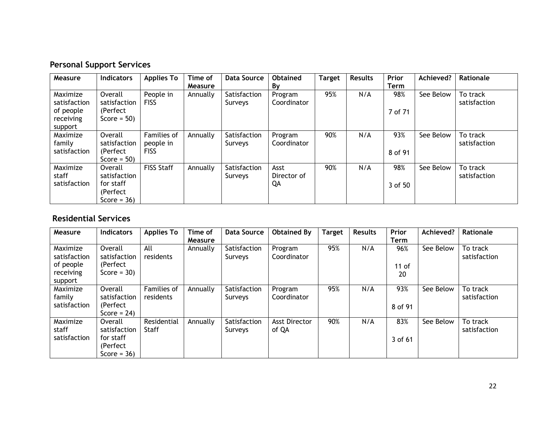# **Personal Support Services**

| Measure                            | <b>Indicators</b>                                                   | <b>Applies To</b>                       | Time of        | <b>Data Source</b>      | <b>Obtained</b>           | <b>Target</b> | <b>Results</b> | Prior          | Achieved? | Rationale                |
|------------------------------------|---------------------------------------------------------------------|-----------------------------------------|----------------|-------------------------|---------------------------|---------------|----------------|----------------|-----------|--------------------------|
|                                    |                                                                     |                                         | <b>Measure</b> |                         | By                        |               |                | <b>Term</b>    |           |                          |
| Maximize<br>satisfaction           | Overall<br>satisfaction                                             | People in<br><b>FISS</b>                | Annually       | Satisfaction<br>Surveys | Program<br>Coordinator    | 95%           | N/A            | 98%            | See Below | To track<br>satisfaction |
| of people<br>receiving<br>support  | (Perfect)<br>Score = $50$ )                                         |                                         |                |                         |                           |               |                | 7 of 71        |           |                          |
| Maximize<br>family<br>satisfaction | Overall<br>satisfaction<br>(Perfect)<br>Score = $50$ )              | Families of<br>people in<br><b>FISS</b> | Annually       | Satisfaction<br>Surveys | Program<br>Coordinator    | 90%           | N/A            | 93%<br>8 of 91 | See Below | To track<br>satisfaction |
| Maximize<br>staff<br>satisfaction  | Overall<br>satisfaction<br>for staff<br>(Perfect)<br>Score = $36$ ) | <b>FISS Staff</b>                       | Annually       | Satisfaction<br>Surveys | Asst<br>Director of<br>QA | 90%           | N/A            | 98%<br>3 of 50 | See Below | To track<br>satisfaction |

# **Residential Services**

| Measure                  | <b>Indicators</b>           | <b>Applies To</b>        | Time of        | <b>Data Source</b>      | <b>Obtained By</b>            | <b>Target</b> | <b>Results</b> | Prior       | Achieved? | Rationale                |
|--------------------------|-----------------------------|--------------------------|----------------|-------------------------|-------------------------------|---------------|----------------|-------------|-----------|--------------------------|
|                          |                             |                          | <b>Measure</b> |                         |                               |               |                | <b>Term</b> |           |                          |
| Maximize<br>satisfaction | Overall<br>satisfaction     | All<br>residents         | Annually       | Satisfaction<br>Surveys | Program<br>Coordinator        | 95%           | N/A            | 96%         | See Below | To track<br>satisfaction |
| of people                | (Perfect)                   |                          |                |                         |                               |               |                | $11$ of     |           |                          |
| receiving                | Score = $30$ )              |                          |                |                         |                               |               |                | 20          |           |                          |
| support                  |                             |                          |                |                         |                               |               |                |             |           |                          |
| Maximize<br>family       | Overall<br>satisfaction     | Families of<br>residents | Annually       | Satisfaction<br>Surveys | Program<br>Coordinator        | 95%           | N/A            | 93%         | See Below | To track<br>satisfaction |
| satisfaction             | (Perfect)<br>Score = $24$ ) |                          |                |                         |                               |               |                | 8 of 91     |           |                          |
| Maximize<br>staff        | Overall<br>satisfaction     | Residential<br>Staff     | Annually       | Satisfaction<br>Surveys | <b>Asst Director</b><br>of QA | 90%           | N/A            | 83%         | See Below | To track<br>satisfaction |
| satisfaction             | for staff                   |                          |                |                         |                               |               |                | 3 of 61     |           |                          |
|                          | (Perfect)                   |                          |                |                         |                               |               |                |             |           |                          |
|                          | Score = $36$ )              |                          |                |                         |                               |               |                |             |           |                          |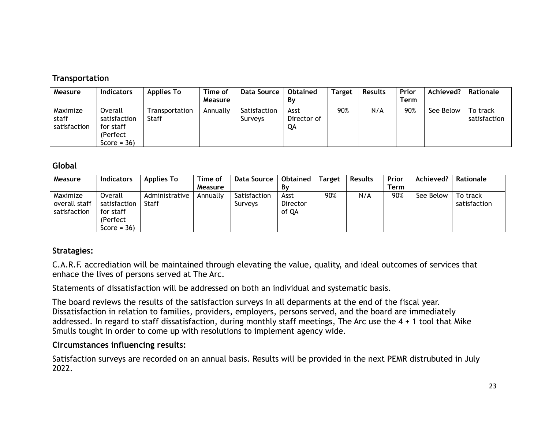## **Transportation**

| Measure                           | <b>Indicators</b>                                                  | <b>Applies To</b>       | Time of<br>Measure | Data Source             | <b>Obtained</b><br>Bv     | <b>Target</b> | <b>Results</b> | Prior<br>Term | Achieved? | Rationale                |
|-----------------------------------|--------------------------------------------------------------------|-------------------------|--------------------|-------------------------|---------------------------|---------------|----------------|---------------|-----------|--------------------------|
| Maximize<br>staff<br>satisfaction | Overall<br>satisfaction<br>for staff<br>(Perfect<br>Score = $36$ ) | Transportation<br>Staff | Annually           | Satisfaction<br>Surveys | Asst<br>Director of<br>QΑ | 90%           | N/A            | 90%           | See Below | To track<br>satisfaction |

#### **Global**

| Measure                                   | <b>Indicators</b>                                                   | <b>Applies To</b>       | Time of  | Data Source             | Obtained                  | <b>Target</b> | <b>Results</b> | Prior | Achieved? | Rationale                |
|-------------------------------------------|---------------------------------------------------------------------|-------------------------|----------|-------------------------|---------------------------|---------------|----------------|-------|-----------|--------------------------|
|                                           |                                                                     |                         | Measure  |                         | Bν                        |               |                | Term  |           |                          |
| Maximize<br>overall staff<br>satisfaction | Overall<br>satisfaction<br>for staff<br>(Perfect)<br>Score = $36$ ) | Administrative<br>Staff | Annually | Satisfaction<br>Surveys | Asst<br>Director<br>of QA | 90%           | N/A            | 90%   | See Below | To track<br>satisfaction |

### **Stratagies:**

C.A.R.F. accrediation will be maintained through elevating the value, quality, and ideal outcomes of services that enhace the lives of persons served at The Arc.

Statements of dissatisfaction will be addressed on both an individual and systematic basis.

The board reviews the results of the satisfaction surveys in all deparments at the end of the fiscal year. Dissatisfaction in relation to families, providers, employers, persons served, and the board are immediately addressed. In regard to staff dissatisfaction, during monthly staff meetings, The Arc use the 4 + 1 tool that Mike Smulls tought in order to come up with resolutions to implement agency wide.

### **Circumstances influencing results:**

Satisfaction surveys are recorded on an annual basis. Results will be provided in the next PEMR distrubuted in July 2022.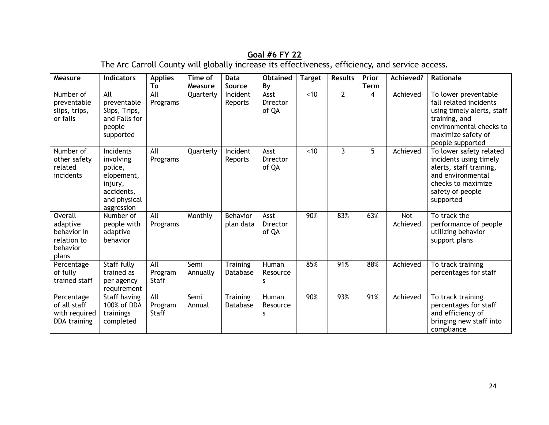# **Goal #6 FY 22**

The Arc Carroll County will globally increase its effectiveness, efficiency, and service access.

| Measure                                                                       | <b>Indicators</b>                                                                                      | <b>Applies</b><br>To           | Time of<br>Measure | Data<br>Source              | <b>Obtained</b><br>By            | <b>Target</b> | <b>Results</b> | Prior<br><b>Term</b> | Achieved?              | Rationale                                                                                                                                                          |
|-------------------------------------------------------------------------------|--------------------------------------------------------------------------------------------------------|--------------------------------|--------------------|-----------------------------|----------------------------------|---------------|----------------|----------------------|------------------------|--------------------------------------------------------------------------------------------------------------------------------------------------------------------|
| Number of<br>preventable<br>slips, trips,<br>or falls                         | All<br>preventable<br>Slips, Trips,<br>and Falls for<br>people<br>supported                            | All<br>Programs                | Quarterly          | Incident<br>Reports         | Asst<br><b>Director</b><br>of QA | ~10           | $\overline{2}$ | 4                    | Achieved               | To lower preventable<br>fall related incidents<br>using timely alerts, staff<br>training, and<br>environmental checks to<br>maximize safety of<br>people supported |
| Number of<br>other safety<br>related<br>incidents                             | Incidents<br>involving<br>police,<br>elopement,<br>injury,<br>accidents,<br>and physical<br>aggression | All<br>Programs                | Quarterly          | Incident<br>Reports         | Asst<br><b>Director</b><br>of QA | ~10           | 3              | 5                    | Achieved               | To lower safety related<br>incidents using timely<br>alerts, staff training,<br>and environmental<br>checks to maximize<br>safety of people<br>supported           |
| <b>Overall</b><br>adaptive<br>behavior in<br>relation to<br>behavior<br>plans | Number of<br>people with<br>adaptive<br>behavior                                                       | All<br>Programs                | Monthly            | Behavior<br>plan data       | Asst<br>Director<br>of QA        | 90%           | 83%            | 63%                  | <b>Not</b><br>Achieved | To track the<br>performance of people<br>utilizing behavior<br>support plans                                                                                       |
| Percentage<br>of fully<br>trained staff                                       | Staff fully<br>trained as<br>per agency<br>requirement                                                 | All<br>Program<br><b>Staff</b> | Semi<br>Annually   | <b>Training</b><br>Database | Human<br>Resource<br>S           | 85%           | 91%            | 88%                  | Achieved               | To track training<br>percentages for staff                                                                                                                         |
| Percentage<br>of all staff<br>with required<br>DDA training                   | Staff having<br>100% of DDA<br>trainings<br>completed                                                  | All<br>Program<br><b>Staff</b> | Semi<br>Annual     | Training<br>Database        | Human<br>Resource<br>s           | 90%           | 93%            | 91%                  | Achieved               | To track training<br>percentages for staff<br>and efficiency of<br>bringing new staff into<br>compliance                                                           |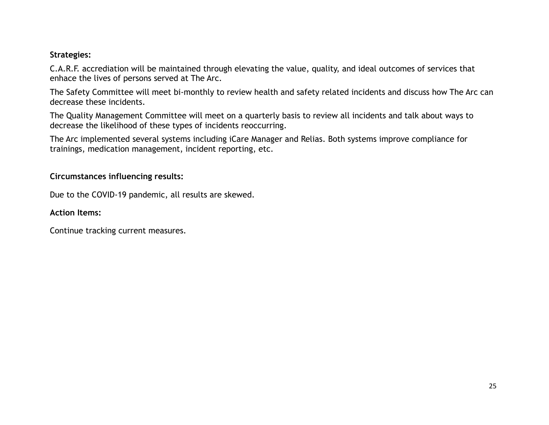#### **Strategies:**

C.A.R.F. accrediation will be maintained through elevating the value, quality, and ideal outcomes of services that enhace the lives of persons served at The Arc.

The Safety Committee will meet bi-monthly to review health and safety related incidents and discuss how The Arc can decrease these incidents.

The Quality Management Committee will meet on a quarterly basis to review all incidents and talk about ways to decrease the likelihood of these types of incidents reoccurring.

The Arc implemented several systems including iCare Manager and Relias. Both systems improve compliance for trainings, medication management, incident reporting, etc.

### **Circumstances influencing results:**

Due to the COVID-19 pandemic, all results are skewed.

## **Action Items:**

Continue tracking current measures.